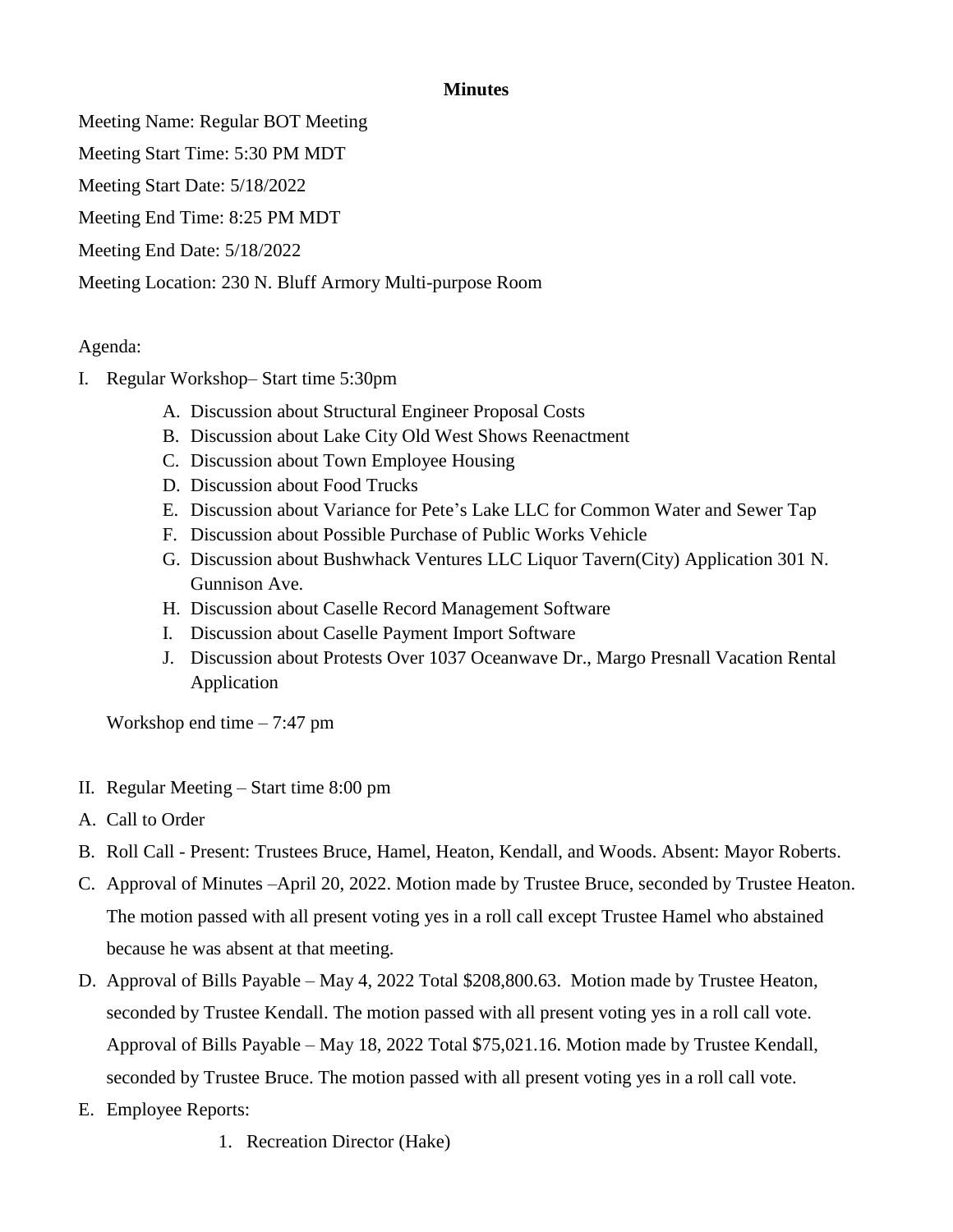## **Minutes**

Meeting Name: Regular BOT Meeting

Meeting Start Time: 5:30 PM MDT

Meeting Start Date: 5/18/2022

Meeting End Time: 8:25 PM MDT

Meeting End Date: 5/18/2022

Meeting Location: 230 N. Bluff Armory Multi-purpose Room

## Agenda:

- I. Regular Workshop– Start time 5:30pm
	- A. Discussion about Structural Engineer Proposal Costs
	- B. Discussion about Lake City Old West Shows Reenactment
	- C. Discussion about Town Employee Housing
	- D. Discussion about Food Trucks
	- E. Discussion about Variance for Pete's Lake LLC for Common Water and Sewer Tap
	- F. Discussion about Possible Purchase of Public Works Vehicle
	- G. Discussion about Bushwhack Ventures LLC Liquor Tavern(City) Application 301 N. Gunnison Ave.
	- H. Discussion about Caselle Record Management Software
	- I. Discussion about Caselle Payment Import Software
	- J. Discussion about Protests Over 1037 Oceanwave Dr., Margo Presnall Vacation Rental Application

Workshop end time – 7:47 pm

- II. Regular Meeting Start time 8:00 pm
- A. Call to Order
- B. Roll Call Present: Trustees Bruce, Hamel, Heaton, Kendall, and Woods. Absent: Mayor Roberts.
- C. Approval of Minutes –April 20, 2022. Motion made by Trustee Bruce, seconded by Trustee Heaton. The motion passed with all present voting yes in a roll call except Trustee Hamel who abstained because he was absent at that meeting.
- D. Approval of Bills Payable May 4, 2022 Total \$208,800.63. Motion made by Trustee Heaton, seconded by Trustee Kendall. The motion passed with all present voting yes in a roll call vote. Approval of Bills Payable – May 18, 2022 Total \$75,021.16. Motion made by Trustee Kendall, seconded by Trustee Bruce. The motion passed with all present voting yes in a roll call vote.
- E. Employee Reports:
	- 1. Recreation Director (Hake)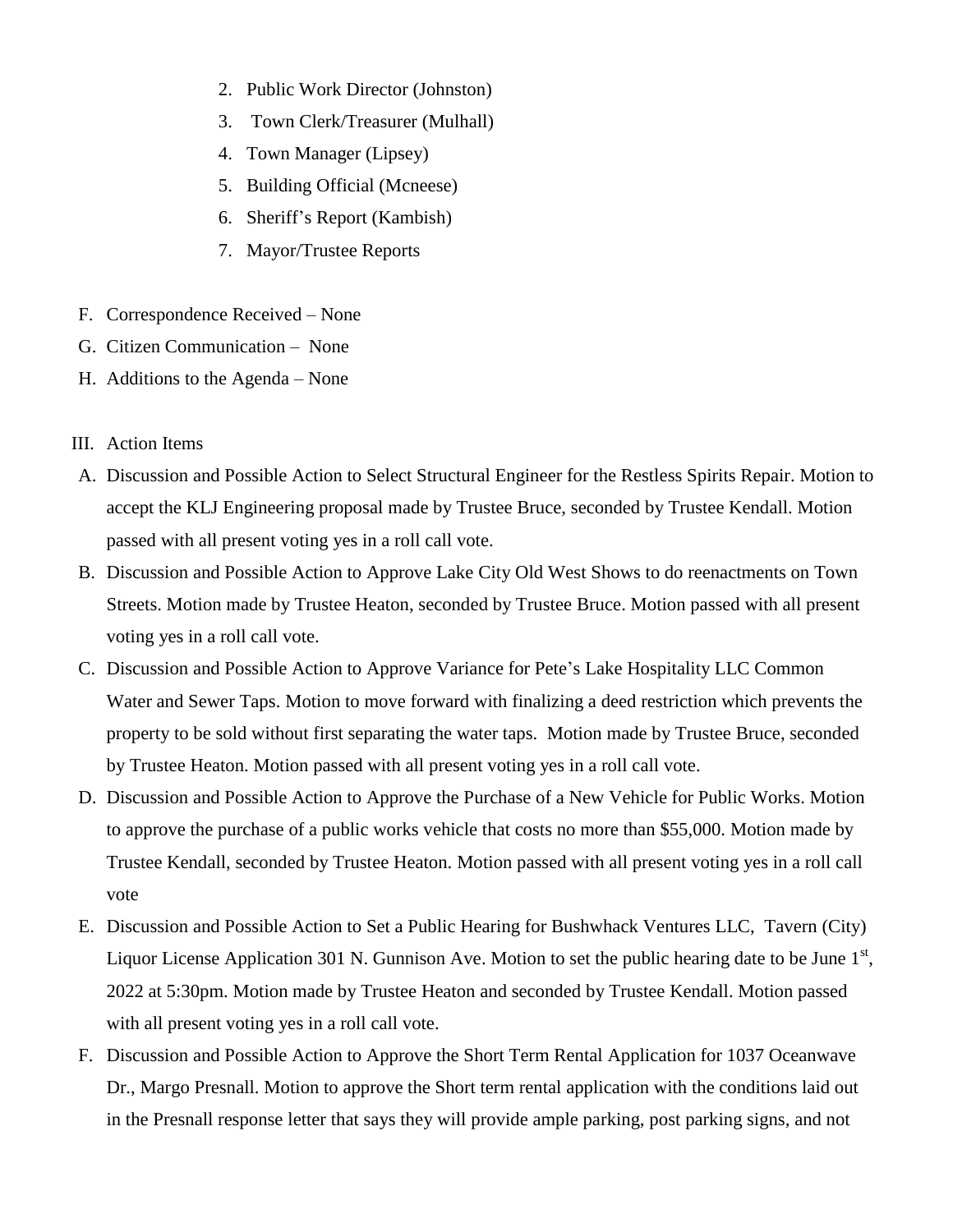- 2. Public Work Director (Johnston)
- 3. Town Clerk/Treasurer (Mulhall)
- 4. Town Manager (Lipsey)
- 5. Building Official (Mcneese)
- 6. Sheriff's Report (Kambish)
- 7. Mayor/Trustee Reports
- F. Correspondence Received None
- G. Citizen Communication None
- H. Additions to the Agenda None
- III. Action Items
- A. Discussion and Possible Action to Select Structural Engineer for the Restless Spirits Repair. Motion to accept the KLJ Engineering proposal made by Trustee Bruce, seconded by Trustee Kendall. Motion passed with all present voting yes in a roll call vote.
- B. Discussion and Possible Action to Approve Lake City Old West Shows to do reenactments on Town Streets. Motion made by Trustee Heaton, seconded by Trustee Bruce. Motion passed with all present voting yes in a roll call vote.
- C. Discussion and Possible Action to Approve Variance for Pete's Lake Hospitality LLC Common Water and Sewer Taps. Motion to move forward with finalizing a deed restriction which prevents the property to be sold without first separating the water taps. Motion made by Trustee Bruce, seconded by Trustee Heaton. Motion passed with all present voting yes in a roll call vote.
- D. Discussion and Possible Action to Approve the Purchase of a New Vehicle for Public Works. Motion to approve the purchase of a public works vehicle that costs no more than \$55,000. Motion made by Trustee Kendall, seconded by Trustee Heaton. Motion passed with all present voting yes in a roll call vote
- E. Discussion and Possible Action to Set a Public Hearing for Bushwhack Ventures LLC, Tavern (City) Liquor License Application 301 N. Gunnison Ave. Motion to set the public hearing date to be June  $1<sup>st</sup>$ , 2022 at 5:30pm. Motion made by Trustee Heaton and seconded by Trustee Kendall. Motion passed with all present voting yes in a roll call vote.
- F. Discussion and Possible Action to Approve the Short Term Rental Application for 1037 Oceanwave Dr., Margo Presnall. Motion to approve the Short term rental application with the conditions laid out in the Presnall response letter that says they will provide ample parking, post parking signs, and not